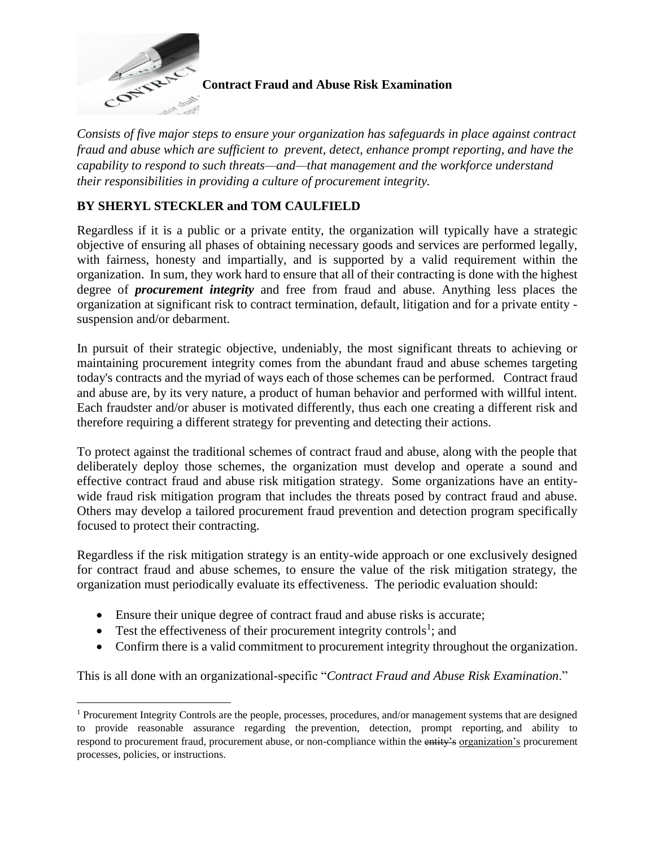

 $\overline{a}$ 

**Contract Fraud and Abuse Risk Examination**

*Consists of five major steps to ensure your organization has safeguards in place against contract fraud and abuse which are sufficient to prevent, detect, enhance prompt reporting, and have the capability to respond to such threats—and—that management and the workforce understand their responsibilities in providing a culture of procurement integrity.*

# **BY SHERYL STECKLER and TOM CAULFIELD**

Regardless if it is a public or a private entity, the organization will typically have a strategic objective of ensuring all phases of obtaining necessary goods and services are performed legally, with fairness, honesty and impartially, and is supported by a valid requirement within the organization. In sum, they work hard to ensure that all of their contracting is done with the highest degree of *procurement integrity* and free from fraud and abuse. Anything less places the organization at significant risk to contract termination, default, litigation and for a private entity suspension and/or debarment.

In pursuit of their strategic objective, undeniably, the most significant threats to achieving or maintaining procurement integrity comes from the abundant fraud and abuse schemes targeting today's contracts and the myriad of ways each of those schemes can be performed. Contract fraud and abuse are, by its very nature, a product of human behavior and performed with willful intent. Each fraudster and/or abuser is motivated differently, thus each one creating a different risk and therefore requiring a different strategy for preventing and detecting their actions.

To protect against the traditional schemes of contract fraud and abuse, along with the people that deliberately deploy those schemes, the organization must develop and operate a sound and effective contract fraud and abuse risk mitigation strategy. Some organizations have an entitywide fraud risk mitigation program that includes the threats posed by contract fraud and abuse. Others may develop a tailored procurement fraud prevention and detection program specifically focused to protect their contracting.

Regardless if the risk mitigation strategy is an entity-wide approach or one exclusively designed for contract fraud and abuse schemes, to ensure the value of the risk mitigation strategy, the organization must periodically evaluate its effectiveness. The periodic evaluation should:

- Ensure their unique degree of contract fraud and abuse risks is accurate;
- Test the effectiveness of their procurement integrity controls<sup>1</sup>; and
- Confirm there is a valid commitment to procurement integrity throughout the organization.

This is all done with an organizational-specific "*Contract Fraud and Abuse Risk Examination*."

<sup>&</sup>lt;sup>1</sup> Procurement Integrity Controls are the people, processes, procedures, and/or management systems that are designed to provide reasonable assurance regarding the prevention, detection, prompt reporting, and ability to respond to procurement fraud, procurement abuse, or non-compliance within the entity's organization's procurement processes, policies, or instructions.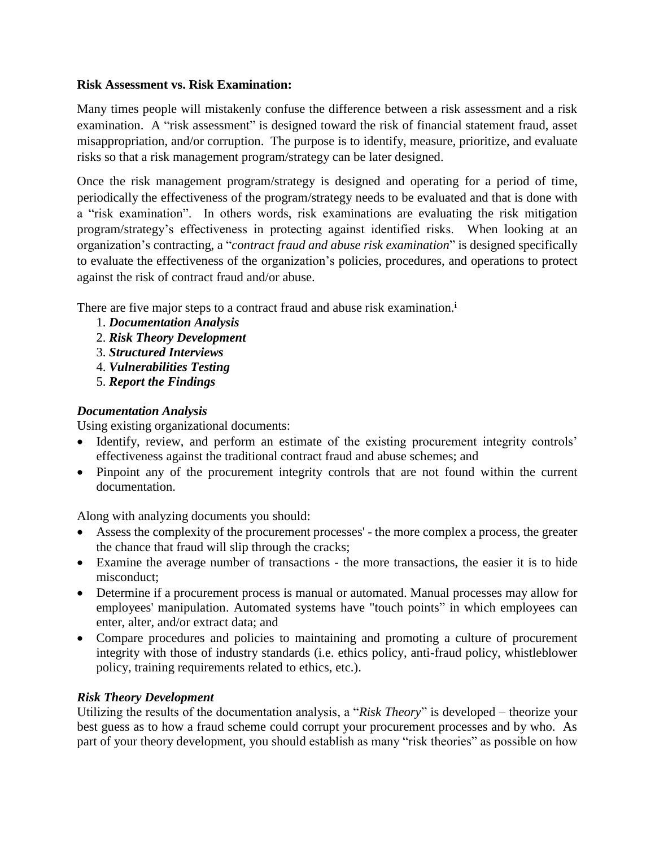#### **Risk Assessment vs. Risk Examination:**

Many times people will mistakenly confuse the difference between a risk assessment and a risk examination. A "risk assessment" is designed toward the risk of financial statement fraud, asset misappropriation, and/or corruption. The purpose is to identify, measure, prioritize, and evaluate risks so that a risk management program/strategy can be later designed.

Once the risk management program/strategy is designed and operating for a period of time, periodically the effectiveness of the program/strategy needs to be evaluated and that is done with a "risk examination". In others words, risk examinations are evaluating the risk mitigation program/strategy's effectiveness in protecting against identified risks. When looking at an organization's contracting, a "*contract fraud and abuse risk examination*" is designed specifically to evaluate the effectiveness of the organization's policies, procedures, and operations to protect against the risk of contract fraud and/or abuse.

There are five major steps to a contract fraud and abuse risk examination.**<sup>i</sup>**

- 1. *Documentation Analysis*
- 2. *Risk Theory Development*
- 3. *Structured Interviews*
- 4. *Vulnerabilities Testing*
- 5. *Report the Findings*

### *Documentation Analysis*

Using existing organizational documents:

- Identify, review, and perform an estimate of the existing procurement integrity controls' effectiveness against the traditional contract fraud and abuse schemes; and
- Pinpoint any of the procurement integrity controls that are not found within the current documentation.

Along with analyzing documents you should:

- Assess the complexity of the procurement processes' the more complex a process, the greater the chance that fraud will slip through the cracks;
- Examine the average number of transactions the more transactions, the easier it is to hide misconduct;
- Determine if a procurement process is manual or automated. Manual processes may allow for employees' manipulation. Automated systems have "touch points" in which employees can enter, alter, and/or extract data; and
- Compare procedures and policies to maintaining and promoting a culture of procurement integrity with those of industry standards (i.e. ethics policy, anti-fraud policy, whistleblower policy, training requirements related to ethics, etc.).

# *Risk Theory Development*

Utilizing the results of the documentation analysis, a "*Risk Theory*" is developed – theorize your best guess as to how a fraud scheme could corrupt your procurement processes and by who. As part of your theory development, you should establish as many "risk theories" as possible on how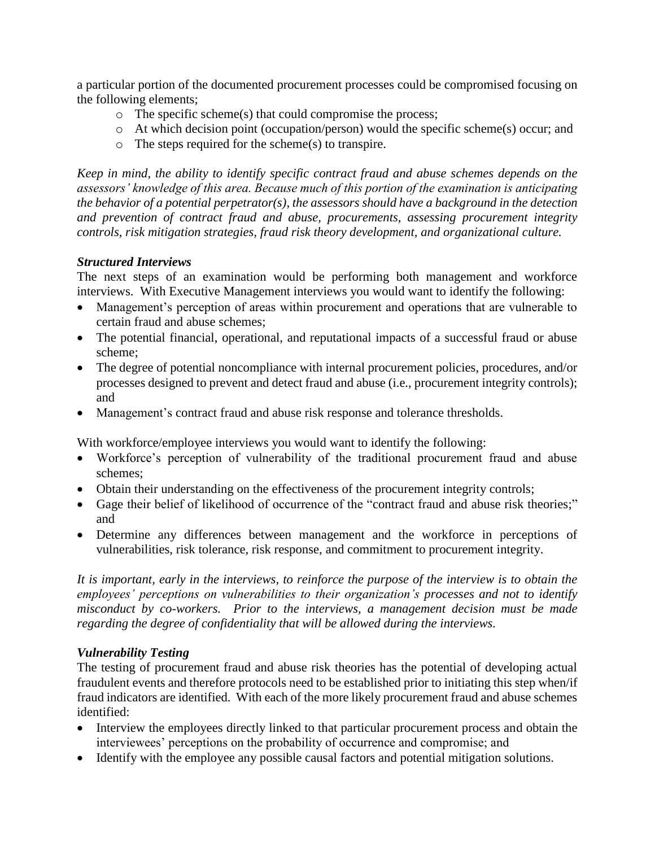a particular portion of the documented procurement processes could be compromised focusing on the following elements;

- o The specific scheme(s) that could compromise the process;
- o At which decision point (occupation/person) would the specific scheme(s) occur; and
- o The steps required for the scheme(s) to transpire.

*Keep in mind, the ability to identify specific contract fraud and abuse schemes depends on the assessors' knowledge of this area. Because much of this portion of the examination is anticipating the behavior of a potential perpetrator(s), the assessors should have a background in the detection and prevention of contract fraud and abuse, procurements, assessing procurement integrity controls, risk mitigation strategies, fraud risk theory development, and organizational culture.*

### *Structured Interviews*

The next steps of an examination would be performing both management and workforce interviews. With Executive Management interviews you would want to identify the following:

- Management's perception of areas within procurement and operations that are vulnerable to certain fraud and abuse schemes;
- The potential financial, operational, and reputational impacts of a successful fraud or abuse scheme;
- The degree of potential noncompliance with internal procurement policies, procedures, and/or processes designed to prevent and detect fraud and abuse (i.e., procurement integrity controls); and
- Management's contract fraud and abuse risk response and tolerance thresholds.

With workforce/employee interviews you would want to identify the following:

- Workforce's perception of vulnerability of the traditional procurement fraud and abuse schemes;
- Obtain their understanding on the effectiveness of the procurement integrity controls;
- Gage their belief of likelihood of occurrence of the "contract fraud and abuse risk theories;" and
- Determine any differences between management and the workforce in perceptions of vulnerabilities, risk tolerance, risk response, and commitment to procurement integrity.

*It is important, early in the interviews, to reinforce the purpose of the interview is to obtain the employees' perceptions on vulnerabilities to their organization's processes and not to identify misconduct by co-workers. Prior to the interviews, a management decision must be made regarding the degree of confidentiality that will be allowed during the interviews.* 

# *Vulnerability Testing*

The testing of procurement fraud and abuse risk theories has the potential of developing actual fraudulent events and therefore protocols need to be established prior to initiating this step when/if fraud indicators are identified. With each of the more likely procurement fraud and abuse schemes identified:

- Interview the employees directly linked to that particular procurement process and obtain the interviewees' perceptions on the probability of occurrence and compromise; and
- Identify with the employee any possible causal factors and potential mitigation solutions.